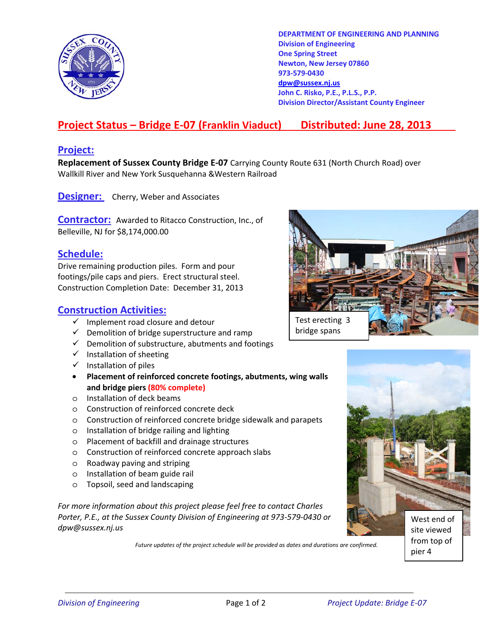

**DEPARTMENT OF ENGINEERING AND PLANNING Division of Engineering One Spring Street Newton, New Jersey 07860 973-579-0430 dpw@sussex.nj.us John C. Risko, P.E., P.L.S., P.P. Division Director/Assistant County Engineer** 

# **Project Status – Bridge E-07 (Franklin Viaduct) Distributed: June 28, 2013**

### **Project:**

**Replacement of Sussex County Bridge E-07** Carrying County Route 631 (North Church Road) over Wallkill River and New York Susquehanna &Western Railroad

**Designer:** Cherry, Weber and Associates

**Contractor:** Awarded to Ritacco Construction, Inc., of Belleville, NJ for \$8,174,000.00

### **Schedule:**

Drive remaining production piles. Form and pour footings/pile caps and piers. Erect structural steel. Construction Completion Date: December 31, 2013

### **Construction Activities:**

- $\checkmark$  Implement road closure and detour
- $\checkmark$  Demolition of bridge superstructure and ramp
- $\checkmark$  Demolition of substructure, abutments and footings
- $\checkmark$  Installation of sheeting
- $\checkmark$  Installation of piles
- **Placement of reinforced concrete footings, abutments, wing walls and bridge piers (80% complete)**
- o Installation of deck beams
- o Construction of reinforced concrete deck
- o Construction of reinforced concrete bridge sidewalk and parapets
- o Installation of bridge railing and lighting
- o Placement of backfill and drainage structures
- o Construction of reinforced concrete approach slabs
- o Roadway paving and striping
- o Installation of beam guide rail
- o Topsoil, seed and landscaping

*For more information about this project please feel free to contact Charles Porter, P.E., at the Sussex County Division of Engineering at 973-579-0430 or dpw@sussex.nj.us* 

*Future updates of the project schedule will be provided as dates and durations are confirmed.* 





pier 4